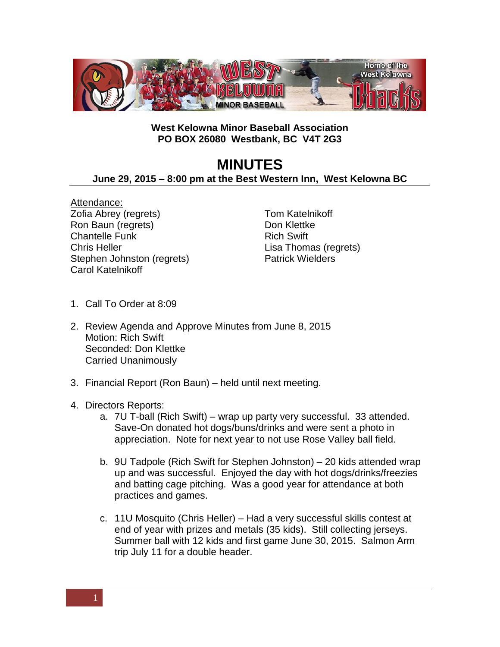

## **West Kelowna Minor Baseball Association PO BOX 26080 Westbank, BC V4T 2G3**

## **MINUTES**

**June 29, 2015 – 8:00 pm at the Best Western Inn, West Kelowna BC**

Attendance: Zofia Abrey (regrets) Ron Baun (regrets) Chantelle Funk Chris Heller Stephen Johnston (regrets) Carol Katelnikoff

Tom Katelnikoff Don Klettke Rich Swift Lisa Thomas (regrets) Patrick Wielders

- 1. Call To Order at 8:09
- 2. Review Agenda and Approve Minutes from June 8, 2015 Motion: Rich Swift Seconded: Don Klettke Carried Unanimously
- 3. Financial Report (Ron Baun) held until next meeting.
- 4. Directors Reports:
	- a. 7U T-ball (Rich Swift) wrap up party very successful. 33 attended. Save-On donated hot dogs/buns/drinks and were sent a photo in appreciation. Note for next year to not use Rose Valley ball field.
	- b. 9U Tadpole (Rich Swift for Stephen Johnston) 20 kids attended wrap up and was successful. Enjoyed the day with hot dogs/drinks/freezies and batting cage pitching. Was a good year for attendance at both practices and games.
	- c. 11U Mosquito (Chris Heller) Had a very successful skills contest at end of year with prizes and metals (35 kids). Still collecting jerseys. Summer ball with 12 kids and first game June 30, 2015. Salmon Arm trip July 11 for a double header.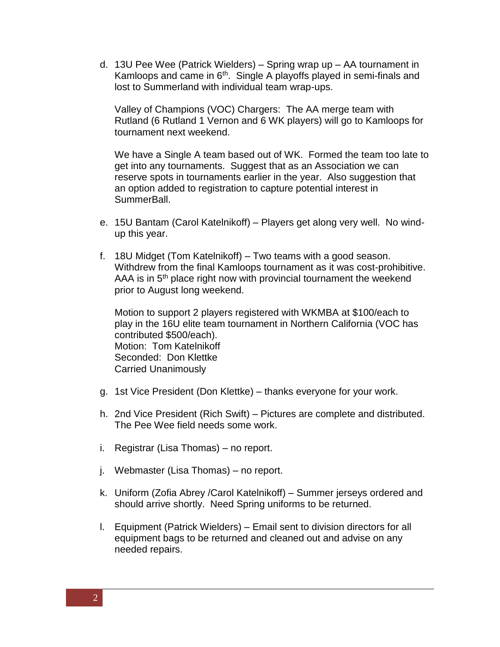d. 13U Pee Wee (Patrick Wielders) – Spring wrap up – AA tournament in Kamloops and came in  $6<sup>th</sup>$ . Single A playoffs played in semi-finals and lost to Summerland with individual team wrap-ups.

Valley of Champions (VOC) Chargers: The AA merge team with Rutland (6 Rutland 1 Vernon and 6 WK players) will go to Kamloops for tournament next weekend.

We have a Single A team based out of WK. Formed the team too late to get into any tournaments. Suggest that as an Association we can reserve spots in tournaments earlier in the year. Also suggestion that an option added to registration to capture potential interest in SummerBall.

- e. 15U Bantam (Carol Katelnikoff) Players get along very well. No windup this year.
- f. 18U Midget (Tom Katelnikoff) Two teams with a good season. Withdrew from the final Kamloops tournament as it was cost-prohibitive. AAA is in  $5<sup>th</sup>$  place right now with provincial tournament the weekend prior to August long weekend.

Motion to support 2 players registered with WKMBA at \$100/each to play in the 16U elite team tournament in Northern California (VOC has contributed \$500/each). Motion: Tom Katelnikoff Seconded: Don Klettke Carried Unanimously

- g. 1st Vice President (Don Klettke) thanks everyone for your work.
- h. 2nd Vice President (Rich Swift) Pictures are complete and distributed. The Pee Wee field needs some work.
- i. Registrar (Lisa Thomas) no report.
- j. Webmaster (Lisa Thomas) no report.
- k. Uniform (Zofia Abrey /Carol Katelnikoff) Summer jerseys ordered and should arrive shortly. Need Spring uniforms to be returned.
- l. Equipment (Patrick Wielders) Email sent to division directors for all equipment bags to be returned and cleaned out and advise on any needed repairs.